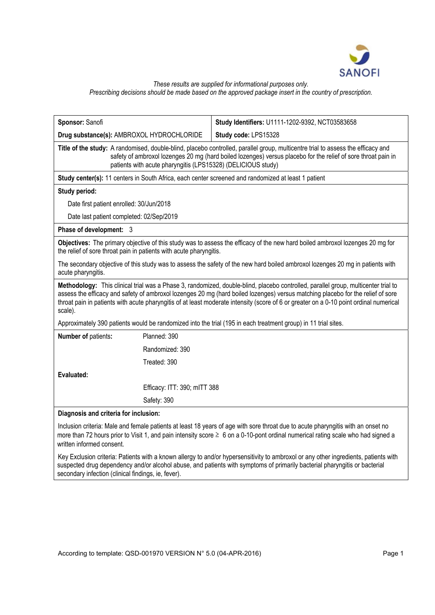

*These results are supplied for informational purposes only.* 

*Prescribing decisions should be made based on the approved package insert in the country of prescription.* 

| Sponsor: Sanofi                                                                                                                                                                                                                                                                                                                                                                                                            |                              | Study Identifiers: U1111-1202-9392, NCT03583658 |
|----------------------------------------------------------------------------------------------------------------------------------------------------------------------------------------------------------------------------------------------------------------------------------------------------------------------------------------------------------------------------------------------------------------------------|------------------------------|-------------------------------------------------|
| Drug substance(s): AMBROXOL HYDROCHLORIDE                                                                                                                                                                                                                                                                                                                                                                                  |                              | Study code: LPS15328                            |
| Title of the study: A randomised, double-blind, placebo controlled, parallel group, multicentre trial to assess the efficacy and<br>safety of ambroxol lozenges 20 mg (hard boiled lozenges) versus placebo for the relief of sore throat pain in<br>patients with acute pharyngitis (LPS15328) (DELICIOUS study)                                                                                                          |                              |                                                 |
| Study center(s): 11 centers in South Africa, each center screened and randomized at least 1 patient                                                                                                                                                                                                                                                                                                                        |                              |                                                 |
| Study period:                                                                                                                                                                                                                                                                                                                                                                                                              |                              |                                                 |
| Date first patient enrolled: 30/Jun/2018                                                                                                                                                                                                                                                                                                                                                                                   |                              |                                                 |
| Date last patient completed: 02/Sep/2019                                                                                                                                                                                                                                                                                                                                                                                   |                              |                                                 |
| Phase of development: 3                                                                                                                                                                                                                                                                                                                                                                                                    |                              |                                                 |
| Objectives: The primary objective of this study was to assess the efficacy of the new hard boiled ambroxol lozenges 20 mg for<br>the relief of sore throat pain in patients with acute pharyngitis.                                                                                                                                                                                                                        |                              |                                                 |
| The secondary objective of this study was to assess the safety of the new hard boiled ambroxol lozenges 20 mg in patients with<br>acute pharyngitis.                                                                                                                                                                                                                                                                       |                              |                                                 |
| Methodology: This clinical trial was a Phase 3, randomized, double-blind, placebo controlled, parallel group, multicenter trial to<br>assess the efficacy and safety of ambroxol lozenges 20 mg (hard boiled lozenges) versus matching placebo for the relief of sore<br>throat pain in patients with acute pharyngitis of at least moderate intensity (score of 6 or greater on a 0-10 point ordinal numerical<br>scale). |                              |                                                 |
| Approximately 390 patients would be randomized into the trial (195 in each treatment group) in 11 trial sites.                                                                                                                                                                                                                                                                                                             |                              |                                                 |
| Number of patients:                                                                                                                                                                                                                                                                                                                                                                                                        | Planned: 390                 |                                                 |
|                                                                                                                                                                                                                                                                                                                                                                                                                            | Randomized: 390              |                                                 |
|                                                                                                                                                                                                                                                                                                                                                                                                                            | Treated: 390                 |                                                 |
| Evaluated:                                                                                                                                                                                                                                                                                                                                                                                                                 |                              |                                                 |
|                                                                                                                                                                                                                                                                                                                                                                                                                            | Efficacy: ITT: 390; mITT 388 |                                                 |
|                                                                                                                                                                                                                                                                                                                                                                                                                            | Safety: 390                  |                                                 |
| Diagnosis and criteria for inclusion:                                                                                                                                                                                                                                                                                                                                                                                      |                              |                                                 |
| Inclusion criteria: Male and female patients at least 18 years of age with sore throat due to acute pharyngitis with an onset no<br>more than 72 hours prior to Visit 1, and pain intensity score $\geq 6$ on a 0-10-pont ordinal numerical rating scale who had signed a<br>written informed consent.                                                                                                                     |                              |                                                 |

Key Exclusion criteria: Patients with a known allergy to and/or hypersensitivity to ambroxol or any other ingredients, patients with suspected drug dependency and/or alcohol abuse, and patients with symptoms of primarily bacterial pharyngitis or bacterial secondary infection (clinical findings, ie, fever).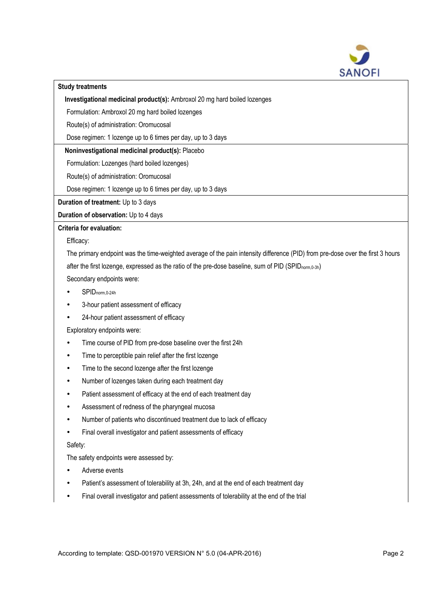

### **Study treatments**

**Investigational medicinal product(s):** Ambroxol 20 mg hard boiled lozenges

Formulation: Ambroxol 20 mg hard boiled lozenges

Route(s) of administration: Oromucosal

Dose regimen: 1 lozenge up to 6 times per day, up to 3 days

# **Noninvestigational medicinal product(s):** Placebo

Formulation: Lozenges (hard boiled lozenges)

Route(s) of administration: Oromucosal

Dose regimen: 1 lozenge up to 6 times per day, up to 3 days

**Duration of treatment:** Up to 3 days

# **Duration of observation:** Up to 4 days

## **Criteria for evaluation:**

Efficacy:

The primary endpoint was the time-weighted average of the pain intensity difference (PID) from pre-dose over the first 3 hours after the first lozenge, expressed as the ratio of the pre-dose baseline, sum of PID (SPID<sub>norm,0-3h</sub>)

Secondary endpoints were:

- SPIDnorm,0-24h
- 3-hour patient assessment of efficacy
- 24-hour patient assessment of efficacy

Exploratory endpoints were:

- Time course of PID from pre-dose baseline over the first 24h
- Time to perceptible pain relief after the first lozenge
- Time to the second lozenge after the first lozenge
- Number of lozenges taken during each treatment day
- Patient assessment of efficacy at the end of each treatment day
- Assessment of redness of the pharyngeal mucosa
- Number of patients who discontinued treatment due to lack of efficacy
- Final overall investigator and patient assessments of efficacy

## Safety:

The safety endpoints were assessed by:

- Adverse events
- Patient's assessment of tolerability at 3h, 24h, and at the end of each treatment day
- Final overall investigator and patient assessments of tolerability at the end of the trial

According to template: QSD-001970 VERSION N° 5.0 (04-APR-2016) Page 2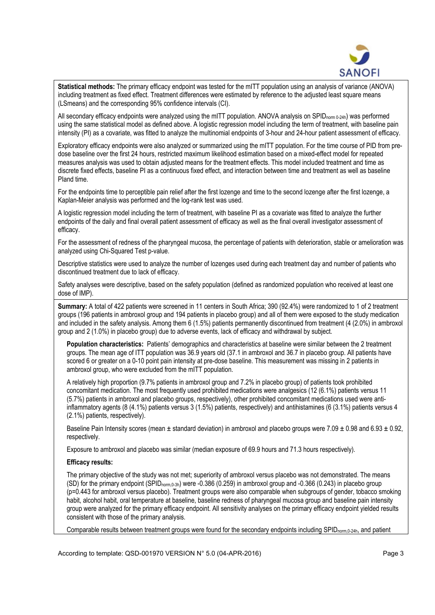

**Statistical methods:** The primary efficacy endpoint was tested for the mITT population using an analysis of variance (ANOVA) including treatment as fixed effect. Treatment differences were estimated by reference to the adjusted least square means (LSmeans) and the corresponding 95% confidence intervals (CI).

All secondary efficacy endpoints were analyzed using the mITT population. ANOVA analysis on SPID<sub>norm 0-24h</sub>) was performed using the same statistical model as defined above. A logistic regression model including the term of treatment, with baseline pain intensity (PI) as a covariate, was fitted to analyze the multinomial endpoints of 3-hour and 24-hour patient assessment of efficacy.

Exploratory efficacy endpoints were also analyzed or summarized using the mITT population. For the time course of PID from predose baseline over the first 24 hours, restricted maximum likelihood estimation based on a mixed-effect model for repeated measures analysis was used to obtain adjusted means for the treatment effects. This model included treatment and time as discrete fixed effects, baseline PI as a continuous fixed effect, and interaction between time and treatment as well as baseline PIand time.

For the endpoints time to perceptible pain relief after the first lozenge and time to the second lozenge after the first lozenge, a Kaplan-Meier analysis was performed and the log-rank test was used.

A logistic regression model including the term of treatment, with baseline PI as a covariate was fitted to analyze the further endpoints of the daily and final overall patient assessment of efficacy as well as the final overall investigator assessment of efficacy.

For the assessment of redness of the pharyngeal mucosa, the percentage of patients with deterioration, stable or amelioration was analyzed using Chi-Squared Test p-value.

Descriptive statistics were used to analyze the number of lozenges used during each treatment day and number of patients who discontinued treatment due to lack of efficacy.

Safety analyses were descriptive, based on the safety population (defined as randomized population who received at least one dose of IMP).

**Summary:** A total of 422 patients were screened in 11 centers in South Africa; 390 (92.4%) were randomized to 1 of 2 treatment groups (196 patients in ambroxol group and 194 patients in placebo group) and all of them were exposed to the study medication and included in the safety analysis. Among them 6 (1.5%) patients permanently discontinued from treatment (4 (2.0%) in ambroxol group and 2 (1.0%) in placebo group) due to adverse events, lack of efficacy and withdrawal by subject.

**Population characteristics:** Patients' demographics and characteristics at baseline were similar between the 2 treatment groups. The mean age of ITT population was 36.9 years old (37.1 in ambroxol and 36.7 in placebo group. All patients have scored 6 or greater on a 0-10 point pain intensity at pre-dose baseline. This measurement was missing in 2 patients in ambroxol group, who were excluded from the mITT population.

A relatively high proportion (9.7% patients in ambroxol group and 7.2% in placebo group) of patients took prohibited concomitant medication. The most frequently used prohibited medications were analgesics (12 (6.1%) patients versus 11 (5.7%) patients in ambroxol and placebo groups, respectively), other prohibited concomitant medications used were antiinflammatory agents (8 (4.1%) patients versus 3 (1.5%) patients, respectively) and antihistamines (6 (3.1%) patients versus 4 (2.1%) patients, respectively).

Baseline Pain Intensity scores (mean  $\pm$  standard deviation) in ambroxol and placebo groups were 7.09  $\pm$  0.98 and 6.93  $\pm$  0.92. respectively.

Exposure to ambroxol and placebo was similar (median exposure of 69.9 hours and 71.3 hours respectively).

#### **Efficacy results:**

The primary objective of the study was not met; superiority of ambroxol versus placebo was not demonstrated. The means (SD) for the primary endpoint (SPIDnorm,0-3h) were -0.386 (0.259) in ambroxol group and -0.366 (0.243) in placebo group (p=0.443 for ambroxol versus placebo). Treatment groups were also comparable when subgroups of gender, tobacco smoking habit, alcohol habit, oral temperature at baseline, baseline redness of pharyngeal mucosa group and baseline pain intensity group were analyzed for the primary efficacy endpoint. All sensitivity analyses on the primary efficacy endpoint yielded results consistent with those of the primary analysis.

Comparable results between treatment groups were found for the secondary endpoints including SPID<sub>norm,0-24h</sub>, and patient

According to template: QSD-001970 VERSION N° 5.0 (04-APR-2016) Page 3